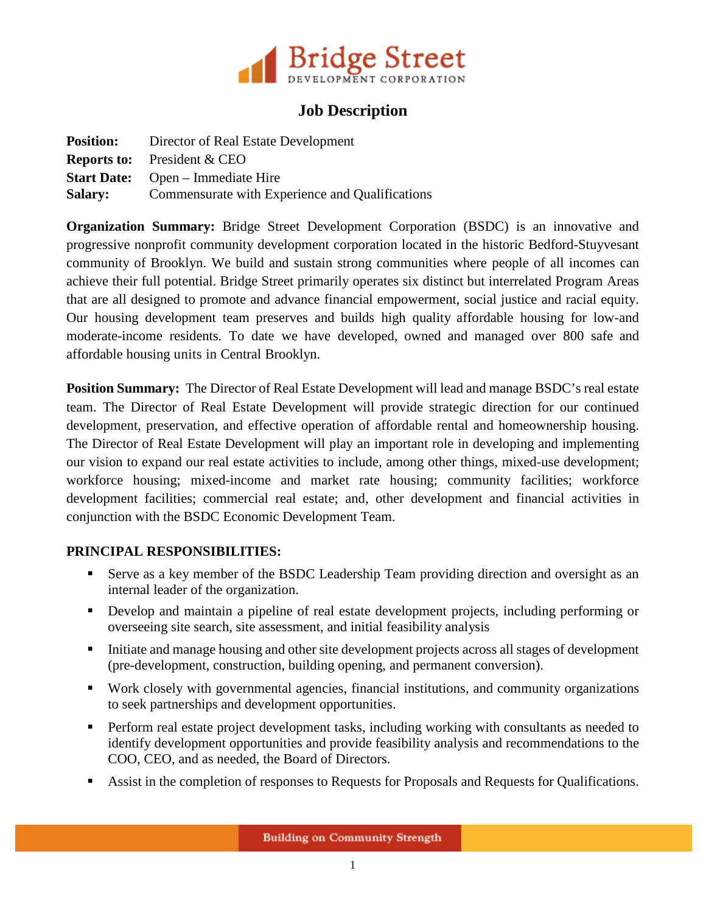

## **Job Description**

|                | <b>Position:</b> Director of Real Estate Development |
|----------------|------------------------------------------------------|
|                | <b>Reports to:</b> President $&$ CEO                 |
|                | <b>Start Date:</b> Open – Immediate Hire             |
| <b>Salary:</b> | Commensurate with Experience and Qualifications      |

**Organization Summary:** Bridge Street Development Corporation (BSDC) is an innovative and progressive nonprofit community development corporation located in the historic Bedford-Stuyvesant community of Brooklyn. We build and sustain strong communities where people of all incomes can achieve their full potential. Bridge Street primarily operates six distinct but interrelated Program Areas that are all designed to promote and advance financial empowerment, social justice and racial equity. Our housing development team preserves and builds high quality affordable housing for low-and moderate-income residents. To date we have developed, owned and managed over 800 safe and affordable housing units in Central Brooklyn.

**Position Summary:** The Director of Real Estate Development will lead and manage BSDC's real estate team. The Director of Real Estate Development will provide strategic direction for our continued development, preservation, and effective operation of affordable rental and homeownership housing. The Director of Real Estate Development will play an important role in developing and implementing our vision to expand our real estate activities to include, among other things, mixed-use development; workforce housing; mixed-income and market rate housing; community facilities; workforce development facilities; commercial real estate; and, other development and financial activities in conjunction with the BSDC Economic Development Team.

## **PRINCIPAL RESPONSIBILITIES:**

- Serve as a key member of the BSDC Leadership Team providing direction and oversight as an internal leader of the organization.
- Develop and maintain a pipeline of real estate development projects, including performing or overseeing site search, site assessment, and initial feasibility analysis
- Initiate and manage housing and other site development projects across all stages of development (pre-development, construction, building opening, and permanent conversion).
- Work closely with governmental agencies, financial institutions, and community organizations to seek partnerships and development opportunities.
- **Perform real estate project development tasks, including working with consultants as needed to** identify development opportunities and provide feasibility analysis and recommendations to the COO, CEO, and as needed, the Board of Directors.
- Assist in the completion of responses to Requests for Proposals and Requests for Qualifications.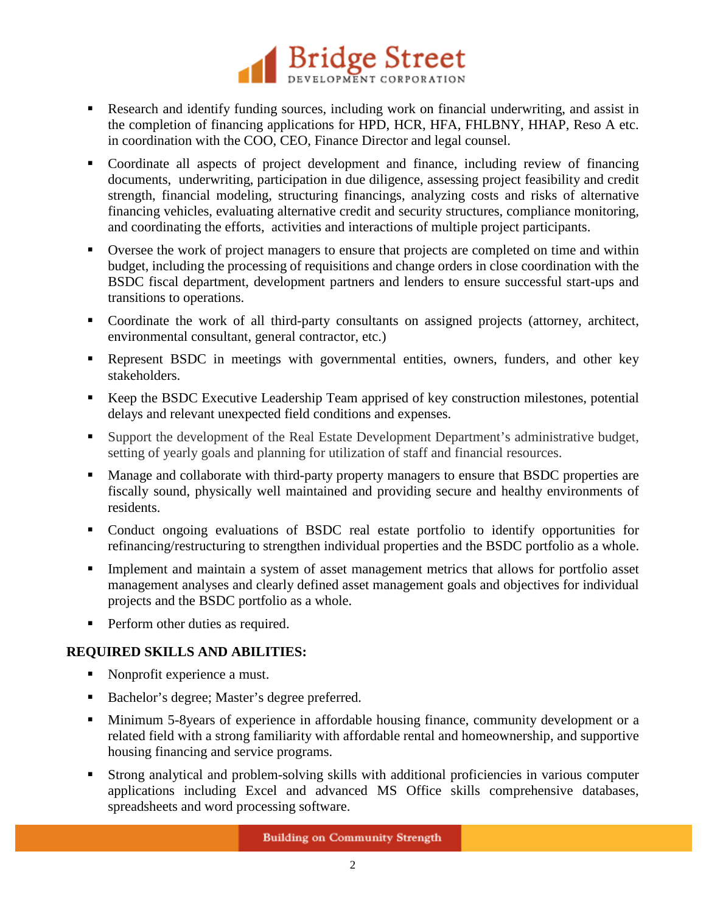

- Research and identify funding sources, including work on financial underwriting, and assist in the completion of financing applications for HPD, HCR, HFA, FHLBNY, HHAP, Reso A etc. in coordination with the COO, CEO, Finance Director and legal counsel.
- Coordinate all aspects of project development and finance, including review of financing documents, underwriting, participation in due diligence, assessing project feasibility and credit strength, financial modeling, structuring financings, analyzing costs and risks of alternative financing vehicles, evaluating alternative credit and security structures, compliance monitoring, and coordinating the efforts, activities and interactions of multiple project participants.
- Oversee the work of project managers to ensure that projects are completed on time and within budget, including the processing of requisitions and change orders in close coordination with the BSDC fiscal department, development partners and lenders to ensure successful start-ups and transitions to operations.
- Coordinate the work of all third-party consultants on assigned projects (attorney, architect, environmental consultant, general contractor, etc.)
- Represent BSDC in meetings with governmental entities, owners, funders, and other key stakeholders.
- Keep the BSDC Executive Leadership Team apprised of key construction milestones, potential delays and relevant unexpected field conditions and expenses.
- Support the development of the Real Estate Development Department's administrative budget, setting of yearly goals and planning for utilization of staff and financial resources.
- **Manage and collaborate with third-party property managers to ensure that BSDC properties are** fiscally sound, physically well maintained and providing secure and healthy environments of residents.
- Conduct ongoing evaluations of BSDC real estate portfolio to identify opportunities for refinancing/restructuring to strengthen individual properties and the BSDC portfolio as a whole.
- Implement and maintain a system of asset management metrics that allows for portfolio asset management analyses and clearly defined asset management goals and objectives for individual projects and the BSDC portfolio as a whole.
- **Perform other duties as required.**

## **REQUIRED SKILLS AND ABILITIES:**

- Nonprofit experience a must.
- Bachelor's degree; Master's degree preferred.
- **Minimum 5-8years of experience in affordable housing finance, community development or a** related field with a strong familiarity with affordable rental and homeownership, and supportive housing financing and service programs.
- Strong analytical and problem-solving skills with additional proficiencies in various computer applications including Excel and advanced MS Office skills comprehensive databases, spreadsheets and word processing software.

**Building on Community Strength**